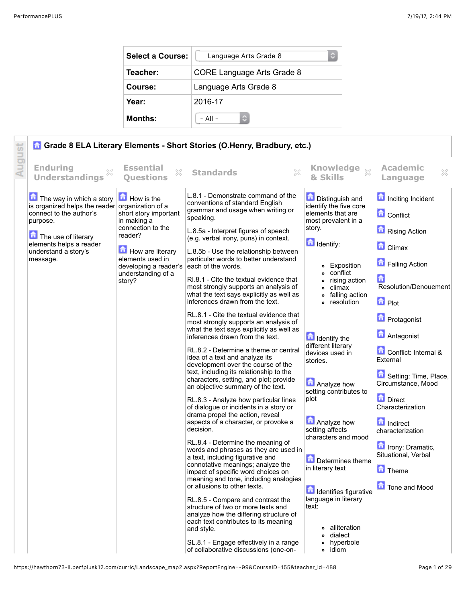| <b>Select a Course:</b> | Language Arts Grade 8             |  |  |
|-------------------------|-----------------------------------|--|--|
| Teacher:                | <b>CORE Language Arts Grade 8</b> |  |  |
| Course:                 | Language Arts Grade 8             |  |  |
| Year:                   | 2016-17                           |  |  |
| <b>Months:</b>          | $-$ All $-$                       |  |  |

|                                                                                                                                                       |                                                                                                                                                                                                                                               | <b>A Grade 8 ELA Literary Elements - Short Stories (O.Henry, Bradbury, etc.)</b>                                                                                                                                                                                                                                                                                                                                                                                                                                                                                                                                                                                                                                                                                                                                                                                                                                                                                                                                                                                                                                                                                                                                                                                                                                                                                                                                                                                                                                              |                                                                                                                                                                                                                                                                                                                                                                                                                                                                                                                                                                              |                                                                                                                                                                                                                                                                                                                                                                                                                            |
|-------------------------------------------------------------------------------------------------------------------------------------------------------|-----------------------------------------------------------------------------------------------------------------------------------------------------------------------------------------------------------------------------------------------|-------------------------------------------------------------------------------------------------------------------------------------------------------------------------------------------------------------------------------------------------------------------------------------------------------------------------------------------------------------------------------------------------------------------------------------------------------------------------------------------------------------------------------------------------------------------------------------------------------------------------------------------------------------------------------------------------------------------------------------------------------------------------------------------------------------------------------------------------------------------------------------------------------------------------------------------------------------------------------------------------------------------------------------------------------------------------------------------------------------------------------------------------------------------------------------------------------------------------------------------------------------------------------------------------------------------------------------------------------------------------------------------------------------------------------------------------------------------------------------------------------------------------------|------------------------------------------------------------------------------------------------------------------------------------------------------------------------------------------------------------------------------------------------------------------------------------------------------------------------------------------------------------------------------------------------------------------------------------------------------------------------------------------------------------------------------------------------------------------------------|----------------------------------------------------------------------------------------------------------------------------------------------------------------------------------------------------------------------------------------------------------------------------------------------------------------------------------------------------------------------------------------------------------------------------|
| Augu<br><b>Enduring</b><br><b>Understandings</b>                                                                                                      | <b>Essential</b><br><b>Ouestions</b>                                                                                                                                                                                                          | X<br><b>Standards</b>                                                                                                                                                                                                                                                                                                                                                                                                                                                                                                                                                                                                                                                                                                                                                                                                                                                                                                                                                                                                                                                                                                                                                                                                                                                                                                                                                                                                                                                                                                         | X<br>& Skills                                                                                                                                                                                                                                                                                                                                                                                                                                                                                                                                                                | <b>Academic</b><br>×<br><b>Language</b>                                                                                                                                                                                                                                                                                                                                                                                    |
| The way in which a story<br>connect to the author's<br>purpose.<br>The use of literary<br>elements helps a reader<br>understand a story's<br>message. | <b>How</b> is the<br>is organized helps the reader organization of a<br>short story important<br>in making a<br>connection to the<br>reader?<br>How are literary<br>elements used in<br>developing a reader's<br>understanding of a<br>story? | L.8.1 - Demonstrate command of the<br>conventions of standard English<br>grammar and usage when writing or<br>speaking.<br>L.8.5a - Interpret figures of speech<br>(e.g. verbal irony, puns) in context.<br>L.8.5b - Use the relationship between<br>particular words to better understand<br>each of the words.<br>RI.8.1 - Cite the textual evidence that<br>most strongly supports an analysis of<br>what the text says explicitly as well as<br>inferences drawn from the text.<br>RL.8.1 - Cite the textual evidence that<br>most strongly supports an analysis of<br>what the text says explicitly as well as<br>inferences drawn from the text.<br>RL.8.2 - Determine a theme or central<br>idea of a text and analyze its<br>development over the course of the<br>text, including its relationship to the<br>characters, setting, and plot; provide<br>an objective summary of the text.<br>RL.8.3 - Analyze how particular lines<br>of dialogue or incidents in a story or<br>drama propel the action, reveal<br>aspects of a character, or provoke a<br>decision.<br>RL.8.4 - Determine the meaning of<br>words and phrases as they are used in<br>a text, including figurative and<br>connotative meanings; analyze the<br>impact of specific word choices on<br>meaning and tone, including analogies<br>or allusions to other texts.<br>RL.8.5 - Compare and contrast the<br>structure of two or more texts and<br>analyze how the differing structure of<br>each text contributes to its meaning<br>and style. | <b>Distinguish and</b><br>identify the five core<br>elements that are<br>most prevalent in a<br>story.<br><b>d</b> Identify:<br>Exposition<br>conflict<br>۰<br>rising action<br>۰<br>climax<br>۰<br>falling action<br>resolution<br><b>d</b> Identify the<br>different literary<br>devices used in<br>stories.<br><b>Analyze how</b><br>setting contributes to<br>plot<br><b>Analyze how</b><br>setting affects<br>characters and mood<br>Determines theme<br>in literary text<br><b>d</b> Identifies figurative<br>language in literary<br>text:<br>alliteration<br>dialect | Inciting Incident<br><b>Conflict</b><br>Rising Action<br><b>Climax</b><br>Falling Action<br>a<br>Resolution/Denouement<br>$\blacksquare$ Plot<br><b>D</b> Protagonist<br>Antagonist<br>Conflict: Internal &<br>External<br>Setting: Time, Place,<br>Circumstance, Mood<br>Direct<br>Characterization<br>Indirect<br>characterization<br><b>In Irony: Dramatic,</b><br>Situational, Verbal<br><b>Theme</b><br>Tone and Mood |
|                                                                                                                                                       |                                                                                                                                                                                                                                               | SL.8.1 - Engage effectively in a range<br>of collaborative discussions (one-on-                                                                                                                                                                                                                                                                                                                                                                                                                                                                                                                                                                                                                                                                                                                                                                                                                                                                                                                                                                                                                                                                                                                                                                                                                                                                                                                                                                                                                                               | hyperbole<br>idiom<br>۰                                                                                                                                                                                                                                                                                                                                                                                                                                                                                                                                                      |                                                                                                                                                                                                                                                                                                                                                                                                                            |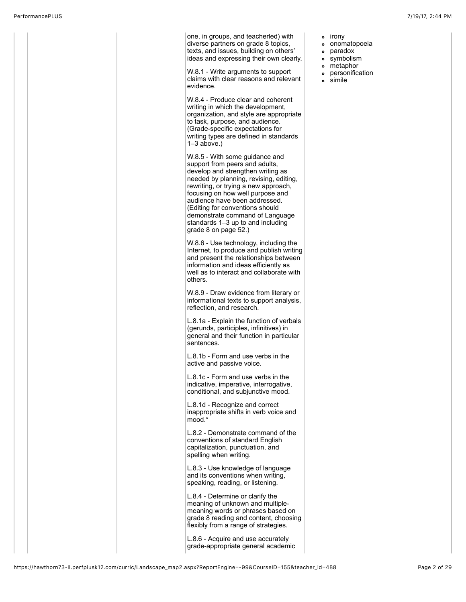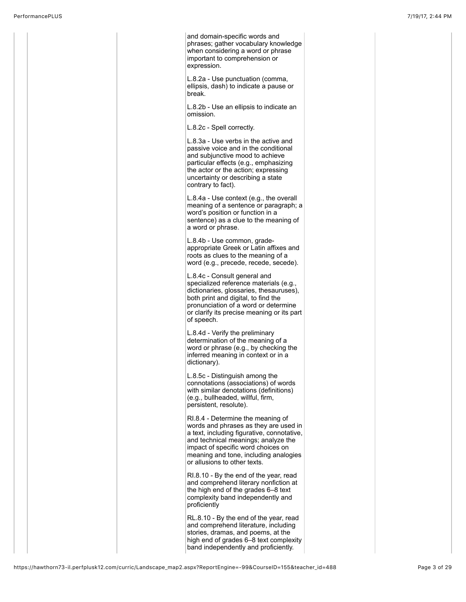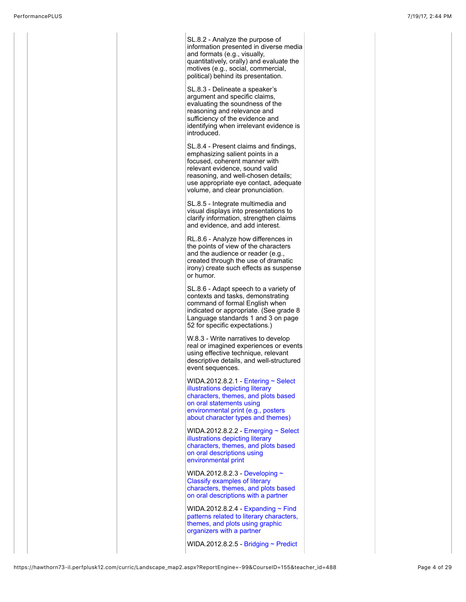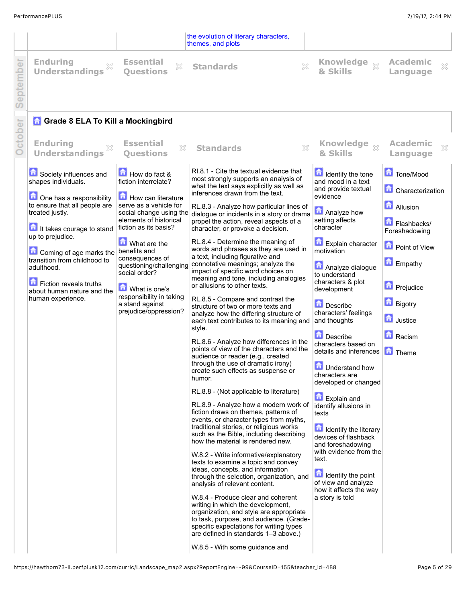|          |                                                                               |                                                                                                      | the evolution of literary characters,<br>themes, and plots                                                                                                                                                                                       |                                                                              |                                                 |
|----------|-------------------------------------------------------------------------------|------------------------------------------------------------------------------------------------------|--------------------------------------------------------------------------------------------------------------------------------------------------------------------------------------------------------------------------------------------------|------------------------------------------------------------------------------|-------------------------------------------------|
| eptember | <b>Enduring</b><br><b>Understandings</b>                                      | <b>Essential</b><br>×<br><b>Ouestions</b>                                                            | ×<br><b>Standards</b>                                                                                                                                                                                                                            | Knowledge xx<br>& Skills                                                     | <b>Academic</b><br>X<br>Language                |
|          | <b>n</b> Grade 8 ELA To Kill a Mockingbird                                    |                                                                                                      |                                                                                                                                                                                                                                                  |                                                                              |                                                 |
| October  | <b>Enduring</b><br><b>Understandings</b>                                      | <b>Essential</b><br>X<br><b>Ouestions</b>                                                            | $\chi$<br><b>Standards</b>                                                                                                                                                                                                                       | Knowledge xx<br>& Skills                                                     | <b>Academic</b><br>×<br>Language                |
|          | Society influences and<br>shapes individuals.                                 | How do fact &<br>fiction interrelate?                                                                | RI.8.1 - Cite the textual evidence that<br>most strongly supports an analysis of<br>what the text says explicitly as well as                                                                                                                     | Identify the tone<br>and mood in a text<br>and provide textual               | Tone/Mood                                       |
|          | One has a responsibility                                                      | How can literature                                                                                   | inferences drawn from the text.                                                                                                                                                                                                                  | evidence                                                                     | <b>Characterization</b>                         |
|          | to ensure that all people are<br>treated justly.<br>It takes courage to stand | serve as a vehicle for<br>social change using the<br>elements of historical<br>fiction as its basis? | RL.8.3 - Analyze how particular lines of<br>dialogue or incidents in a story or drama<br>propel the action, reveal aspects of a<br>character, or provoke a decision.                                                                             | Analyze how<br>setting affects<br>character                                  | <b>Allusion</b><br>Flashbacks/<br>Foreshadowing |
|          | up to prejudice.<br>Coming of age marks the                                   | What are the<br>benefits and                                                                         | RL.8.4 - Determine the meaning of<br>words and phrases as they are used in<br>a text, including figurative and                                                                                                                                   | <b>Explain character</b><br>motivation                                       | Point of View                                   |
|          | transition from childhood to<br>adulthood.<br>Fiction reveals truths          | consequences of<br>questioning/challenging<br>social order?                                          | connotative meanings; analyze the<br>impact of specific word choices on<br>meaning and tone, including analogies                                                                                                                                 | Analyze dialogue<br>to understand<br>characters & plot                       | Empathy                                         |
|          | about human nature and the<br>human experience.                               | What is one's<br>responsibility in taking                                                            | or allusions to other texts.<br>RL.8.5 - Compare and contrast the                                                                                                                                                                                | development                                                                  | <b>D</b> Prejudice                              |
|          |                                                                               | a stand against<br>prejudice/oppression?                                                             | structure of two or more texts and<br>analyze how the differing structure of<br>each text contributes to its meaning and                                                                                                                         | Describe<br>characters' feelings<br>and thoughts                             | <b>Bigotry</b><br><b>d</b> Justice              |
|          |                                                                               |                                                                                                      | style.<br>RL.8.6 - Analyze how differences in the                                                                                                                                                                                                | Describe                                                                     | Racism                                          |
|          |                                                                               |                                                                                                      | points of view of the characters and the<br>audience or reader (e.g., created                                                                                                                                                                    | characters based on<br>details and inferences                                | <b>h</b> Theme                                  |
|          |                                                                               |                                                                                                      | through the use of dramatic irony)<br>create such effects as suspense or<br>humor.                                                                                                                                                               | 靑<br>Understand how<br>characters are<br>developed or changed                |                                                 |
|          |                                                                               |                                                                                                      | RL.8.8 - (Not applicable to literature)                                                                                                                                                                                                          | <b>D</b> Explain and                                                         |                                                 |
|          |                                                                               |                                                                                                      | RL.8.9 - Analyze how a modern work of<br>fiction draws on themes, patterns of<br>events, or character types from myths,                                                                                                                          | identify allusions in<br>texts                                               |                                                 |
|          |                                                                               |                                                                                                      | traditional stories, or religious works<br>such as the Bible, including describing<br>how the material is rendered new.                                                                                                                          | <b>n</b> Identify the literary<br>devices of flashback<br>and foreshadowing  |                                                 |
|          |                                                                               |                                                                                                      | W.8.2 - Write informative/explanatory<br>texts to examine a topic and convey                                                                                                                                                                     | with evidence from the<br>text.                                              |                                                 |
|          |                                                                               |                                                                                                      | ideas, concepts, and information<br>through the selection, organization, and<br>analysis of relevant content.                                                                                                                                    | <b>d</b> Identify the point<br>of view and analyze<br>how it affects the way |                                                 |
|          |                                                                               |                                                                                                      | W.8.4 - Produce clear and coherent<br>writing in which the development,<br>organization, and style are appropriate<br>to task, purpose, and audience. (Grade-<br>specific expectations for writing types<br>are defined in standards 1-3 above.) | a story is told                                                              |                                                 |
|          |                                                                               |                                                                                                      | W.8.5 - With some guidance and                                                                                                                                                                                                                   |                                                                              |                                                 |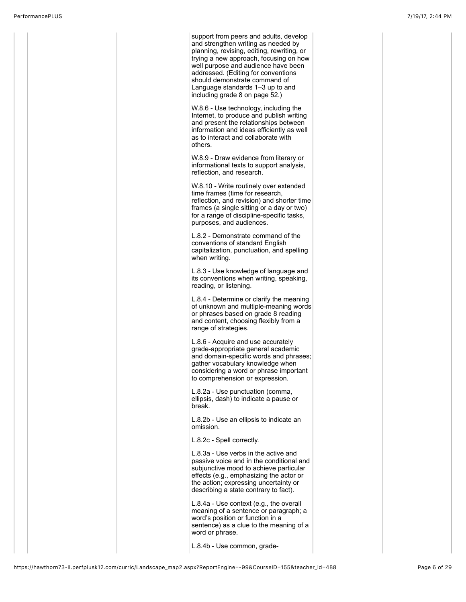support from peers and adults, develop and strengthen writing as needed by planning, revising, editing, rewriting, or trying a new approach, focusing on how well purpose and audience have been addressed. (Editing for conventions should demonstrate command of Language standards 1–3 up to and including grade 8 on page 52.) W.8.6 - Use technology, including the Internet, to produce and publish writing and present the relationships between information and ideas efficiently as well as to interact and collaborate with others. W.8.9 - Draw evidence from literary or informational texts to support analysis, reflection, and research. W.8.10 - Write routinely over extended time frames (time for research, reflection, and revision) and shorter time frames (a single sitting or a day or two) for a range of discipline-specific tasks, purposes, and audiences. L.8.2 - Demonstrate command of the conventions of standard English capitalization, punctuation, and spelling when writing. L.8.3 - Use knowledge of language and its conventions when writing, speaking, reading, or listening. L.8.4 - Determine or clarify the meaning of unknown and multiple-meaning words or phrases based on grade 8 reading and content, choosing flexibly from a range of strategies. L.8.6 - Acquire and use accurately grade-appropriate general academic and domain-specific words and phrases; gather vocabulary knowledge when considering a word or phrase important to comprehension or expression. L.8.2a - Use punctuation (comma, ellipsis, dash) to indicate a pause or break. L.8.2b - Use an ellipsis to indicate an omission. L.8.2c - Spell correctly. L.8.3a - Use verbs in the active and passive voice and in the conditional and subjunctive mood to achieve particular effects (e.g., emphasizing the actor or the action; expressing uncertainty or describing a state contrary to fact). L.8.4a - Use context (e.g., the overall meaning of a sentence or paragraph; a word's position or function in a sentence) as a clue to the meaning of a word or phrase. L.8.4b - Use common, grade-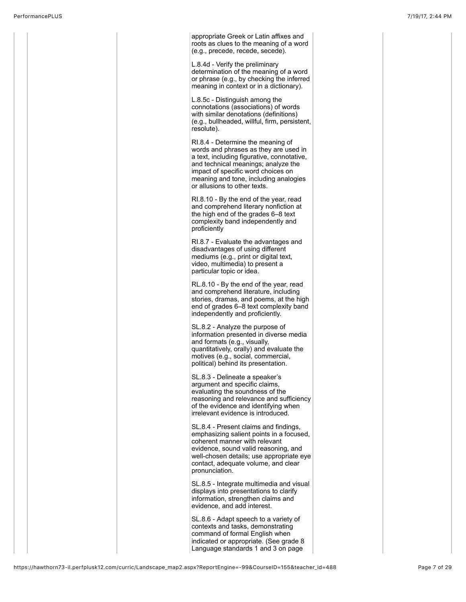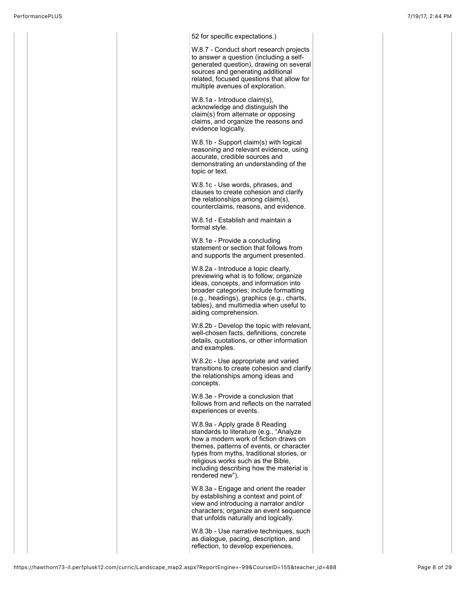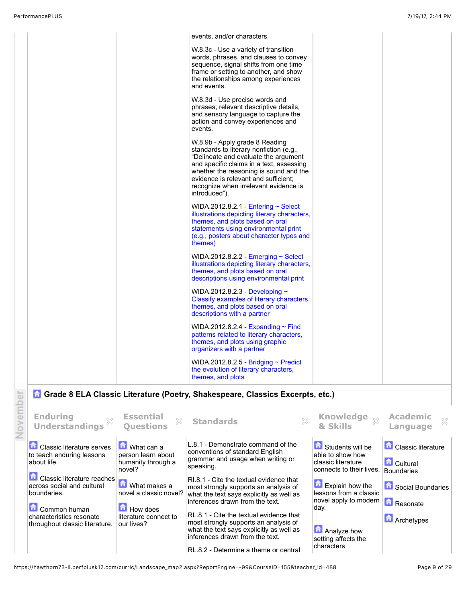|  | events, and/or characters.                                                                                                                                                                                                                                                                                |  |
|--|-----------------------------------------------------------------------------------------------------------------------------------------------------------------------------------------------------------------------------------------------------------------------------------------------------------|--|
|  | W.8.3c - Use a variety of transition<br>words, phrases, and clauses to convey<br>sequence, signal shifts from one time<br>frame or setting to another, and show<br>the relationships among experiences<br>and events.                                                                                     |  |
|  | W.8.3d - Use precise words and<br>phrases, relevant descriptive details,<br>and sensory language to capture the<br>action and convey experiences and<br>events.                                                                                                                                           |  |
|  | W.8.9b - Apply grade 8 Reading<br>standards to literary nonfiction (e.g.,<br>"Delineate and evaluate the argument<br>and specific claims in a text, assessing<br>whether the reasoning is sound and the<br>evidence is relevant and sufficient;<br>recognize when irrelevant evidence is<br>introduced"). |  |
|  | WIDA.2012.8.2.1 Entering $\sim$ Select<br>illustrations depicting literary characters,<br>themes, and plots based on oral<br>statements using environmental print<br>(e.g., posters about character types and<br>themes)                                                                                  |  |
|  | WIDA.2012.8.2.2 - Emerging $\sim$ Select<br>illustrations depicting literary characters,<br>themes, and plots based on oral<br>descriptions using environmental print                                                                                                                                     |  |
|  | WIDA.2012.8.2.3 - Developing $\sim$<br>Classify examples of literary characters,<br>themes, and plots based on oral<br>descriptions with a partner                                                                                                                                                        |  |
|  | WIDA.2012.8.2.4 - Expanding $\sim$ Find<br>patterns related to literary characters,<br>themes, and plots using graphic<br>organizers with a partner                                                                                                                                                       |  |
|  | WIDA.2012.8.2.5 Bridging ~ Predict<br>the evolution of literary characters,<br>themes, and plots                                                                                                                                                                                                          |  |

## **G** Grade 8 ELA Classic Literature (Poetry, Shakespeare, Classics Excerpts, etc.)

| 능      |                                                                                                                                                                                                                                                   |                                                                                                                                                                      | Grade 8 ELA Classic Literature (Poetry, Shakespeare, Classics Excerpts, etc.)                                                                                                                                                                                                                                                                                                                                                                                                                          |                                                                                                                                                                                                                                   |                                                                                                                                   |
|--------|---------------------------------------------------------------------------------------------------------------------------------------------------------------------------------------------------------------------------------------------------|----------------------------------------------------------------------------------------------------------------------------------------------------------------------|--------------------------------------------------------------------------------------------------------------------------------------------------------------------------------------------------------------------------------------------------------------------------------------------------------------------------------------------------------------------------------------------------------------------------------------------------------------------------------------------------------|-----------------------------------------------------------------------------------------------------------------------------------------------------------------------------------------------------------------------------------|-----------------------------------------------------------------------------------------------------------------------------------|
| Novemb | <b>Enduring</b><br>Understandings $\stackrel{\cdots}{\otimes}$                                                                                                                                                                                    | <b>Essential</b><br>$\chi$<br><b>Ouestions</b>                                                                                                                       | $\frac{1}{2}$<br><b>Standards</b>                                                                                                                                                                                                                                                                                                                                                                                                                                                                      | Knowledge<br>$\bar{\mathbb{X}}$<br>& Skills                                                                                                                                                                                       | <b>Academic</b><br>贸<br>Language                                                                                                  |
|        | <b>LI</b> Classic literature serves<br>to teach enduring lessons<br>about life.<br><b>D</b> Classic literature reaches<br>across social and cultural<br>boundaries.<br>Common human<br>characteristics resonate<br>throughout classic literature. | What can a<br>person learn about<br>humanity through a<br>novel?<br>What makes a<br>novel a classic novel?<br>$\Box$ How does<br>literature connect to<br>our lives? | L.8.1 - Demonstrate command of the<br>conventions of standard English<br>grammar and usage when writing or<br>speaking.<br>RI.8.1 - Cite the textual evidence that<br>most strongly supports an analysis of<br>what the text says explicitly as well as<br>inferences drawn from the text.<br>RL.8.1 - Cite the textual evidence that<br>most strongly supports an analysis of<br>what the text says explicitly as well as<br>inferences drawn from the text.<br>RL.8.2 - Determine a theme or central | Students will be<br>able to show how<br>classic literature<br>connects to their lives.<br><b>Explain how the</b><br>lessons from a classic<br>novel apply to modern  <br>day.<br>Analyze how<br>setting affects the<br>characters | <b>Classic literature</b><br><b>Cultural</b><br><b>Boundaries</b><br>Social Boundaries<br><b>Resonate</b><br><b>Li</b> Archetypes |

https://hawthorn73-il.perfplusk12.com/curric/Landscape\_map2.aspx?ReportEngine=-99&CourseID=155&teacher\_id=488 Page 9 of 29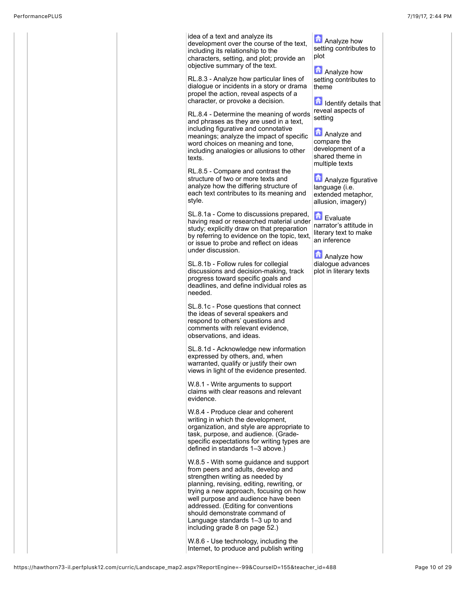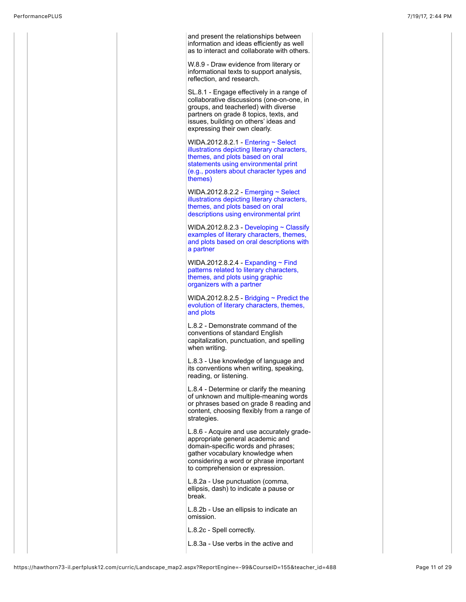|  | and present the relationships between<br>information and ideas efficiently as well<br>as to interact and collaborate with others.                                                                                                                  |  |
|--|----------------------------------------------------------------------------------------------------------------------------------------------------------------------------------------------------------------------------------------------------|--|
|  | W.8.9 - Draw evidence from literary or<br>informational texts to support analysis,<br>reflection, and research.                                                                                                                                    |  |
|  | SL.8.1 - Engage effectively in a range of<br>collaborative discussions (one-on-one, in<br>groups, and teacherled) with diverse<br>partners on grade 8 topics, texts, and<br>issues, building on others' ideas and<br>expressing their own clearly. |  |
|  | WIDA.2012.8.2.1 Entering $\sim$ Select<br>illustrations depicting literary characters,<br>themes, and plots based on oral<br>statements using environmental print<br>(e.g., posters about character types and<br>themes)                           |  |
|  | WIDA.2012.8.2.2 Emerging $\sim$ Select<br>illustrations depicting literary characters,<br>themes, and plots based on oral<br>descriptions using environmental print                                                                                |  |
|  | WIDA.2012.8.2.3 - Developing $\sim$ Classify<br>examples of literary characters, themes,<br>and plots based on oral descriptions with<br>a partner                                                                                                 |  |
|  | WIDA.2012.8.2.4 - Expanding $\sim$ Find<br>patterns related to literary characters,<br>themes, and plots using graphic<br>organizers with a partner                                                                                                |  |
|  | WIDA.2012.8.2.5 Bridging $\sim$ Predict the<br>evolution of literary characters, themes,<br>and plots                                                                                                                                              |  |
|  | L.8.2 - Demonstrate command of the<br>conventions of standard English<br>capitalization, punctuation, and spelling<br>when writing.                                                                                                                |  |
|  | L.8.3 - Use knowledge of language and<br>its conventions when writing, speaking,<br>reading, or listening.                                                                                                                                         |  |
|  | L.8.4 - Determine or clarify the meaning<br>of unknown and multiple-meaning words<br>or phrases based on grade 8 reading and<br>content, choosing flexibly from a range of<br>strategies.                                                          |  |
|  | L.8.6 - Acquire and use accurately grade-<br>appropriate general academic and<br>domain-specific words and phrases;<br>gather vocabulary knowledge when<br>considering a word or phrase important<br>to comprehension or expression.               |  |
|  | L.8.2a - Use punctuation (comma,<br>ellipsis, dash) to indicate a pause or<br>break.                                                                                                                                                               |  |
|  | L.8.2b - Use an ellipsis to indicate an<br>omission.                                                                                                                                                                                               |  |
|  | L.8.2c - Spell correctly.                                                                                                                                                                                                                          |  |
|  | L.8.3a - Use verbs in the active and                                                                                                                                                                                                               |  |
|  |                                                                                                                                                                                                                                                    |  |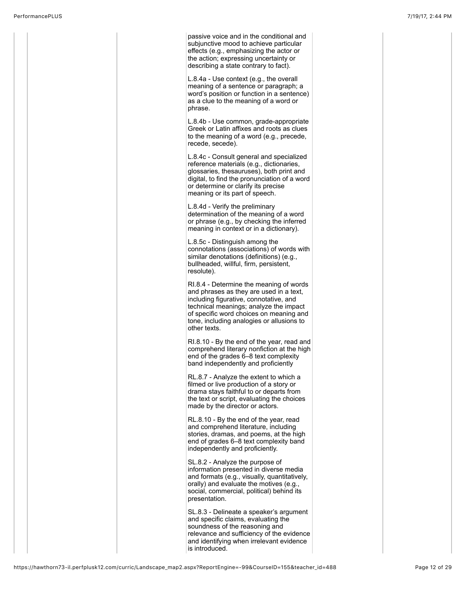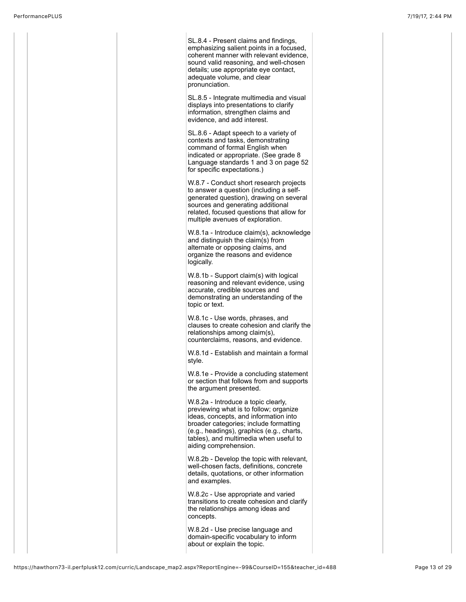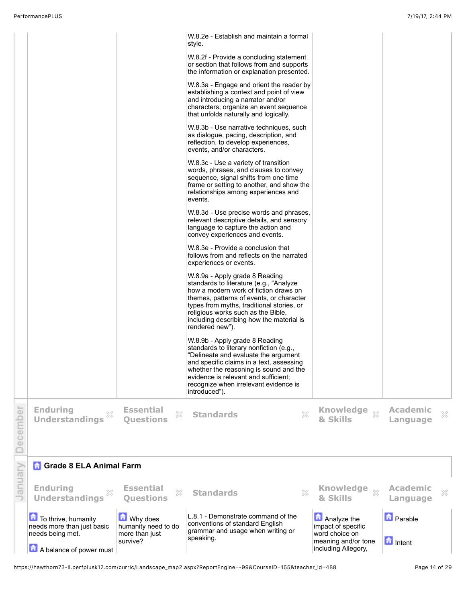|          | To thrive, humanity<br>needs more than just basic<br>needs being met.<br>A balance of power must | Why does<br>humanity need to do<br>more than just<br>survive? | L.8.1 - Demonstrate command of the<br>conventions of standard English<br>grammar and usage when writing or<br>speaking.                                                                                                                                                                                                      | Analyze the<br>impact of specific<br>word choice on<br>meaning and/or tone<br>including Allegory, | <b>D</b> Parable<br><b>n</b> Intent |   |
|----------|--------------------------------------------------------------------------------------------------|---------------------------------------------------------------|------------------------------------------------------------------------------------------------------------------------------------------------------------------------------------------------------------------------------------------------------------------------------------------------------------------------------|---------------------------------------------------------------------------------------------------|-------------------------------------|---|
| January  | <b>Enduring</b><br><b>Understandings</b>                                                         | <b>Essential</b><br>X<br><b>Ouestions</b>                     | X<br><b>Standards</b>                                                                                                                                                                                                                                                                                                        | <b>Knowledge</b><br>$\chi$<br>& Skills                                                            | <b>Academic</b><br>Language         | X |
| December | <b>Understandings</b><br><b>R</b> Grade 8 ELA Animal Farm                                        | <b>Questions</b>                                              |                                                                                                                                                                                                                                                                                                                              | & Skills                                                                                          | Language                            |   |
|          | <b>Enduring</b>                                                                                  | <b>Essential</b><br>X                                         | X<br><b>Standards</b>                                                                                                                                                                                                                                                                                                        | Knowledge xx                                                                                      | <b>Academic</b>                     | × |
|          |                                                                                                  |                                                               | rendered new").<br>W.8.9b - Apply grade 8 Reading<br>standards to literary nonfiction (e.g.,<br>"Delineate and evaluate the argument<br>and specific claims in a text, assessing<br>whether the reasoning is sound and the<br>evidence is relevant and sufficient;<br>recognize when irrelevant evidence is<br>introduced"). |                                                                                                   |                                     |   |
|          |                                                                                                  |                                                               | W.8.9a - Apply grade 8 Reading<br>standards to literature (e.g., "Analyze<br>how a modern work of fiction draws on<br>themes, patterns of events, or character<br>types from myths, traditional stories, or<br>religious works such as the Bible,<br>including describing how the material is                                |                                                                                                   |                                     |   |
|          |                                                                                                  |                                                               | W.8.3e - Provide a conclusion that<br>follows from and reflects on the narrated<br>experiences or events.                                                                                                                                                                                                                    |                                                                                                   |                                     |   |
|          |                                                                                                  |                                                               | W.8.3d - Use precise words and phrases,<br>relevant descriptive details, and sensory<br>language to capture the action and<br>convey experiences and events.                                                                                                                                                                 |                                                                                                   |                                     |   |
|          |                                                                                                  |                                                               | W.8.3c - Use a variety of transition<br>words, phrases, and clauses to convey<br>sequence, signal shifts from one time<br>frame or setting to another, and show the<br>relationships among experiences and<br>events.                                                                                                        |                                                                                                   |                                     |   |
|          |                                                                                                  |                                                               | W.8.3b - Use narrative techniques, such<br>as dialogue, pacing, description, and<br>reflection, to develop experiences,<br>events, and/or characters.                                                                                                                                                                        |                                                                                                   |                                     |   |
|          |                                                                                                  |                                                               | W.8.3a - Engage and orient the reader by<br>establishing a context and point of view<br>and introducing a narrator and/or<br>characters; organize an event sequence<br>that unfolds naturally and logically.                                                                                                                 |                                                                                                   |                                     |   |
|          |                                                                                                  |                                                               | style.<br>W.8.2f - Provide a concluding statement<br>or section that follows from and supports<br>the information or explanation presented.                                                                                                                                                                                  |                                                                                                   |                                     |   |
|          |                                                                                                  |                                                               | W.8.2e - Establish and maintain a formal                                                                                                                                                                                                                                                                                     |                                                                                                   |                                     |   |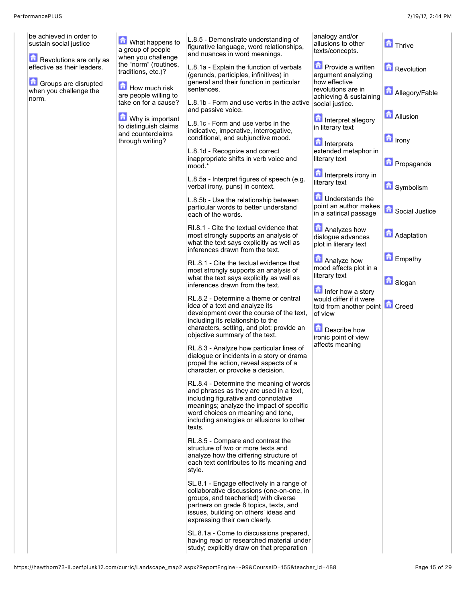| be achieved in order to<br>sustain social justice              | What happens to<br>a group of people<br>when you challenge     | L.8.5 - Demonstrate understanding of<br>figurative language, word relationships,<br>and nuances in word meanings.                                                        | analogy and/or<br>allusions to other<br>texts/concepts.                                  | <b>D</b> Thrive       |
|----------------------------------------------------------------|----------------------------------------------------------------|--------------------------------------------------------------------------------------------------------------------------------------------------------------------------|------------------------------------------------------------------------------------------|-----------------------|
| Revolutions are only as<br>effective as their leaders.         | the "norm" (routines,<br>traditions, etc.)?                    | L.8.1a - Explain the function of verbals<br>(gerunds, participles, infinitives) in<br>general and their function in particular                                           | <b>Provide a written</b><br>argument analyzing<br>how effective                          | <b>Revolution</b>     |
| <b>Groups are disrupted</b><br>when you challenge the<br>norm. | How much risk<br>are people willing to<br>take on for a cause? | sentences.<br>L.8.1b - Form and use verbs in the active                                                                                                                  | revolutions are in<br>achieving & sustaining<br>social justice.                          | <b>Allegory/Fable</b> |
|                                                                | Why is important<br>to distinguish claims                      | and passive voice.<br>L.8.1c - Form and use verbs in the<br>indicative, imperative, interrogative,                                                                       | Interpret allegory<br>in literary text                                                   | <b>Allusion</b>       |
|                                                                | and counterclaims<br>through writing?                          | conditional, and subjunctive mood.<br>L.8.1d - Recognize and correct                                                                                                     | Interprets<br>extended metaphor in                                                       | $\blacksquare$ Irony  |
|                                                                |                                                                | inappropriate shifts in verb voice and<br>mood.*<br>L.8.5a - Interpret figures of speech (e.g.                                                                           | literary text<br>Interprets irony in                                                     | <b>D</b> Propaganda   |
|                                                                |                                                                | verbal irony, puns) in context.<br>L.8.5b - Use the relationship between                                                                                                 | literary text<br><b>T</b> Understands the                                                | Symbolism             |
|                                                                |                                                                | particular words to better understand<br>each of the words.<br>RI.8.1 - Cite the textual evidence that                                                                   | point an author makes<br>in a satirical passage<br>Analyzes how                          | Social Justice        |
|                                                                |                                                                | most strongly supports an analysis of<br>what the text says explicitly as well as<br>inferences drawn from the text.                                                     | dialogue advances<br>plot in literary text                                               | <b>Adaptation</b>     |
|                                                                |                                                                | RL.8.1 - Cite the textual evidence that<br>most strongly supports an analysis of<br>what the text says explicitly as well as                                             | <b>Analyze how</b><br>mood affects plot in a<br>literary text                            | Empathy               |
|                                                                |                                                                | inferences drawn from the text.<br>RL.8.2 - Determine a theme or central<br>idea of a text and analyze its                                                               | Infer how a story<br>would differ if it were<br>told from another point <b>for</b> Creed | <b>G</b> Slogan       |
|                                                                |                                                                | development over the course of the text,<br>including its relationship to the<br>characters, setting, and plot; provide an                                               | of view<br>Describe how                                                                  |                       |
|                                                                |                                                                | objective summary of the text.<br>RL.8.3 - Analyze how particular lines of<br>dialogue or incidents in a story or drama                                                  | ironic point of view<br>affects meaning                                                  |                       |
|                                                                |                                                                | propel the action, reveal aspects of a<br>character, or provoke a decision.                                                                                              |                                                                                          |                       |
|                                                                |                                                                | RL.8.4 - Determine the meaning of words<br>and phrases as they are used in a text.<br>including figurative and connotative<br>meanings; analyze the impact of specific   |                                                                                          |                       |
|                                                                |                                                                | word choices on meaning and tone,<br>including analogies or allusions to other<br>texts.                                                                                 |                                                                                          |                       |
|                                                                |                                                                | RL.8.5 - Compare and contrast the<br>structure of two or more texts and<br>analyze how the differing structure of                                                        |                                                                                          |                       |
|                                                                |                                                                | each text contributes to its meaning and<br>style.                                                                                                                       |                                                                                          |                       |
|                                                                |                                                                | SL.8.1 - Engage effectively in a range of<br>collaborative discussions (one-on-one, in<br>groups, and teacherled) with diverse<br>partners on grade 8 topics, texts, and |                                                                                          |                       |
|                                                                |                                                                | issues, building on others' ideas and<br>expressing their own clearly.<br>SL.8.1a - Come to discussions prepared,                                                        |                                                                                          |                       |
|                                                                |                                                                | having read or researched material under<br>study; explicitly draw on that preparation                                                                                   |                                                                                          |                       |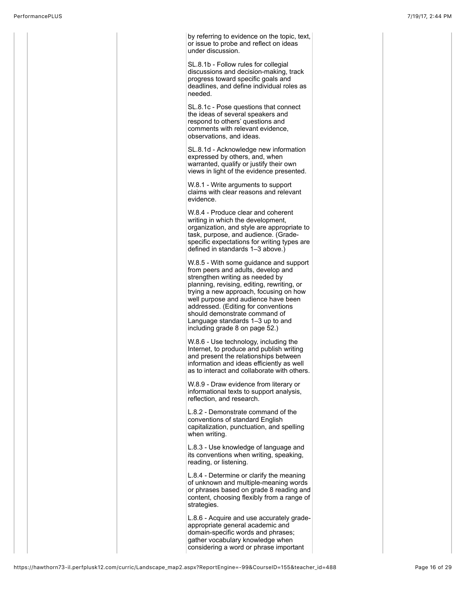by referring to evidence on the topic, text, or issue to probe and reflect on ideas under discussion.

SL.8.1b - Follow rules for collegial discussions and decision-making, track progress toward specific goals and deadlines, and define individual roles as needed.

SL.8.1c - Pose questions that connect the ideas of several speakers and respond to others' questions and comments with relevant evidence, observations, and ideas.

SL.8.1d - Acknowledge new information expressed by others, and, when warranted, qualify or justify their own views in light of the evidence presented.

W.8.1 - Write arguments to support claims with clear reasons and relevant evidence.

W.8.4 - Produce clear and coherent writing in which the development, organization, and style are appropriate to task, purpose, and audience. (Gradespecific expectations for writing types are defined in standards 1–3 above.)

W.8.5 - With some guidance and support from peers and adults, develop and strengthen writing as needed by planning, revising, editing, rewriting, or trying a new approach, focusing on how well purpose and audience have been addressed. (Editing for conventions should demonstrate command of Language standards 1–3 up to and including grade 8 on page 52.)

W.8.6 - Use technology, including the Internet, to produce and publish writing and present the relationships between information and ideas efficiently as well as to interact and collaborate with others.

W.8.9 - Draw evidence from literary or informational texts to support analysis, reflection, and research.

L.8.2 - Demonstrate command of the conventions of standard English capitalization, punctuation, and spelling when writing.

L.8.3 - Use knowledge of language and its conventions when writing, speaking, reading, or listening.

L.8.4 - Determine or clarify the meaning of unknown and multiple-meaning words or phrases based on grade 8 reading and content, choosing flexibly from a range of strategies.

L.8.6 - Acquire and use accurately gradeappropriate general academic and domain-specific words and phrases; gather vocabulary knowledge when considering a word or phrase important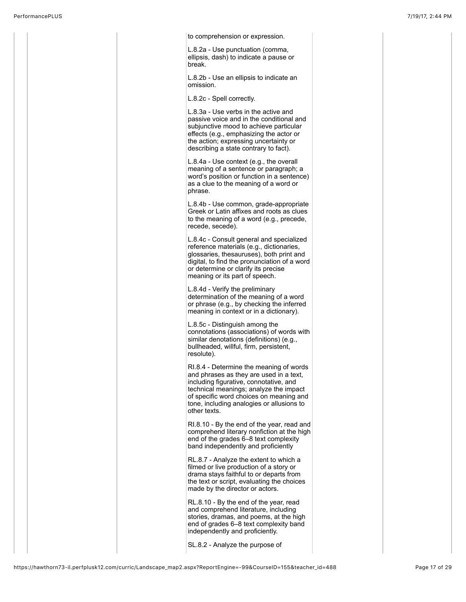

SL.8.2 - Analyze the purpose of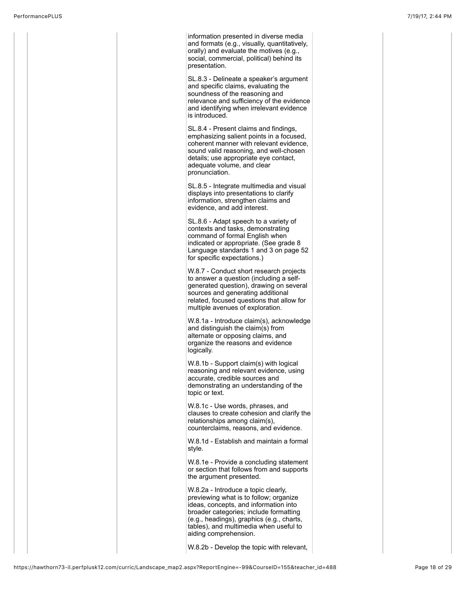information presented in diverse media and formats (e.g., visually, quantitatively, orally) and evaluate the motives (e.g., social, commercial, political) behind its presentation. SL.8.3 - Delineate a speaker's argument and specific claims, evaluating the soundness of the reasoning and relevance and sufficiency of the evidence and identifying when irrelevant evidence is introduced. SL.8.4 - Present claims and findings, emphasizing salient points in a focused, coherent manner with relevant evidence, sound valid reasoning, and well-chosen details; use appropriate eye contact, adequate volume, and clear pronunciation. SL.8.5 - Integrate multimedia and visual displays into presentations to clarify information, strengthen claims and evidence, and add interest. SL.8.6 - Adapt speech to a variety of contexts and tasks, demonstrating command of formal English when indicated or appropriate. (See grade 8 Language standards 1 and 3 on page 52 for specific expectations.) W.8.7 - Conduct short research projects to answer a question (including a selfgenerated question), drawing on several sources and generating additional related, focused questions that allow for multiple avenues of exploration. W.8.1a - Introduce claim(s), acknowledge and distinguish the claim(s) from alternate or opposing claims, and organize the reasons and evidence logically. W.8.1b - Support claim(s) with logical reasoning and relevant evidence, using accurate, credible sources and demonstrating an understanding of the topic or text. W.8.1c - Use words, phrases, and clauses to create cohesion and clarify the relationships among claim(s), counterclaims, reasons, and evidence. W.8.1d - Establish and maintain a formal style. W.8.1e - Provide a concluding statement or section that follows from and supports the argument presented. W.8.2a - Introduce a topic clearly, previewing what is to follow; organize ideas, concepts, and information into broader categories; include formatting (e.g., headings), graphics (e.g., charts, tables), and multimedia when useful to aiding comprehension. W.8.2b - Develop the topic with relevant,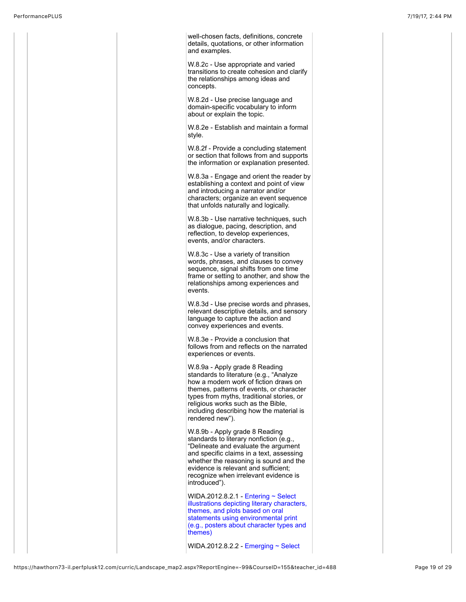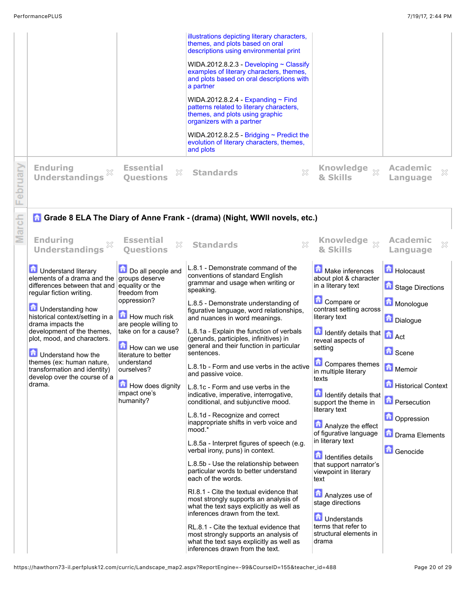|             |                                                                                                                                                                                                                                                                              |                                                                                                                                                                                                             | illustrations depicting literary characters,<br>themes, and plots based on oral<br>descriptions using environmental print<br>WIDA.2012.8.2.3 - Developing $\sim$ Classify<br>examples of literary characters, themes,<br>and plots based on oral descriptions with<br>a partner<br>WIDA.2012.8.2.4 - Expanding $\sim$ Find<br>patterns related to literary characters,<br>themes, and plots using graphic<br>organizers with a partner<br>WIDA.2012.8.2.5 - Bridging $\sim$ Predict the<br>evolution of literary characters, themes,<br>and plots                                                                                                                                                                                                                                                                                                                                                                                                                                                                                                                               |                                                                                                                                                                                                                                                                                                                                                                                                                                                                                                                                                                                                      |                                                                                                                                                                      |
|-------------|------------------------------------------------------------------------------------------------------------------------------------------------------------------------------------------------------------------------------------------------------------------------------|-------------------------------------------------------------------------------------------------------------------------------------------------------------------------------------------------------------|---------------------------------------------------------------------------------------------------------------------------------------------------------------------------------------------------------------------------------------------------------------------------------------------------------------------------------------------------------------------------------------------------------------------------------------------------------------------------------------------------------------------------------------------------------------------------------------------------------------------------------------------------------------------------------------------------------------------------------------------------------------------------------------------------------------------------------------------------------------------------------------------------------------------------------------------------------------------------------------------------------------------------------------------------------------------------------|------------------------------------------------------------------------------------------------------------------------------------------------------------------------------------------------------------------------------------------------------------------------------------------------------------------------------------------------------------------------------------------------------------------------------------------------------------------------------------------------------------------------------------------------------------------------------------------------------|----------------------------------------------------------------------------------------------------------------------------------------------------------------------|
| oruary<br>Φ | <b>Enduring</b><br>×<br><b>Understandings</b>                                                                                                                                                                                                                                | <b>Essential</b><br>X<br><b>Ouestions</b>                                                                                                                                                                   | X<br><b>Standards</b>                                                                                                                                                                                                                                                                                                                                                                                                                                                                                                                                                                                                                                                                                                                                                                                                                                                                                                                                                                                                                                                           | Knowledge xx<br><b>&amp; Skills</b>                                                                                                                                                                                                                                                                                                                                                                                                                                                                                                                                                                  | <b>Academic</b><br>$\boldsymbol{\mathcal{Z}}$<br>Language                                                                                                            |
| arch        | <b>Enduring</b><br>X<br><b>Understandings</b><br><b>D</b> Understand literary<br>elements of a drama and the<br>differences between that and<br>regular fiction writing.                                                                                                     | <b>Essential</b><br>X<br><b>Ouestions</b><br>Do all people and<br>groups deserve<br>equality or the<br>freedom from                                                                                         | <b>A Grade 8 ELA The Diary of Anne Frank - (drama) (Night, WWII novels, etc.)</b><br>X<br><b>Standards</b><br>L.8.1 - Demonstrate command of the<br>conventions of standard English<br>grammar and usage when writing or<br>speaking.                                                                                                                                                                                                                                                                                                                                                                                                                                                                                                                                                                                                                                                                                                                                                                                                                                           | Knowledge xx<br>& Skills<br>Make inferences<br>about plot & character<br>in a literary text                                                                                                                                                                                                                                                                                                                                                                                                                                                                                                          | <b>Academic</b><br>×<br>Language<br>Holocaust<br>Stage Directions                                                                                                    |
|             | <b>D</b> Understanding how<br>historical context/setting in a<br>drama impacts the<br>development of the themes,<br>plot, mood, and characters.<br>Understand how the<br>themes (ex: human nature,<br>transformation and identity)<br>develop over the course of a<br>drama. | oppression?<br><b>How much risk</b><br>are people willing to<br>take on for a cause?<br>How can we use<br>literature to better<br>understand<br>ourselves?<br>How does dignity<br>impact one's<br>humanity? | L.8.5 - Demonstrate understanding of<br>figurative language, word relationships,<br>and nuances in word meanings.<br>L.8.1a - Explain the function of verbals<br>(gerunds, participles, infinitives) in<br>general and their function in particular<br>sentences.<br>L.8.1b - Form and use verbs in the active<br>and passive voice.<br>L.8.1c - Form and use verbs in the<br>indicative, imperative, interrogative,<br>conditional, and subjunctive mood.<br>L.8.1d - Recognize and correct<br>inappropriate shifts in verb voice and<br>mood.*<br>L.8.5a - Interpret figures of speech (e.g.<br>verbal irony, puns) in context.<br>L.8.5b - Use the relationship between<br>particular words to better understand<br>each of the words.<br>RI.8.1 - Cite the textual evidence that<br>most strongly supports an analysis of<br>what the text says explicitly as well as<br>inferences drawn from the text.<br>RL.8.1 - Cite the textual evidence that<br>most strongly supports an analysis of<br>what the text says explicitly as well as<br>inferences drawn from the text. | Compare or<br>contrast setting across<br>literary text<br>$\left  \frac{1}{n} \right $ Identify details that $\left  \frac{1}{n} \right $ Act<br>reveal aspects of<br>setting<br>Compares themes<br>in multiple literary<br>texts<br><b>d</b> Identify details that<br>support the theme in<br>literary text<br>Analyze the effect<br>of figurative language<br>in literary text<br><b>n</b> Identifies details<br>that support narrator's<br>viewpoint in literary<br>text<br>Analyzes use of<br>stage directions<br><b>D</b> Understands<br>terms that refer to<br>structural elements in<br>drama | Monologue<br>Dialogue<br><b>G</b> Scene<br>Memoir<br><b>Historical Context</b><br><b>A</b> Persecution<br><b>D</b> Oppression<br><b>D</b> Drama Elements<br>Genocide |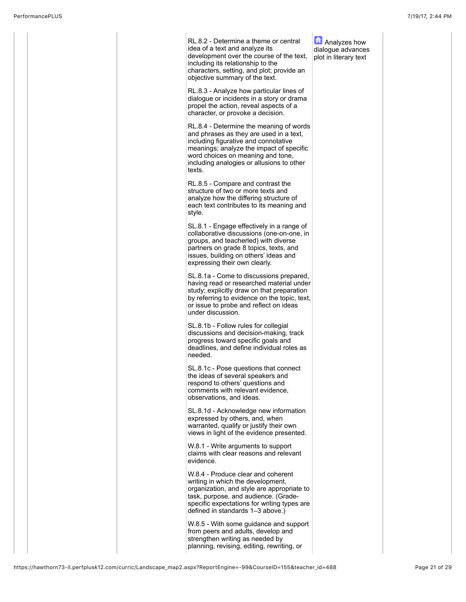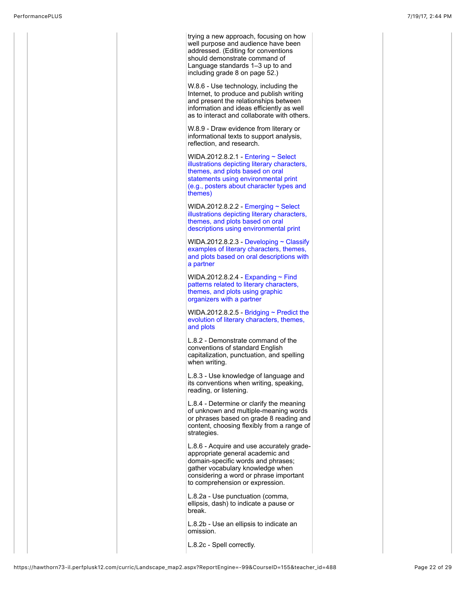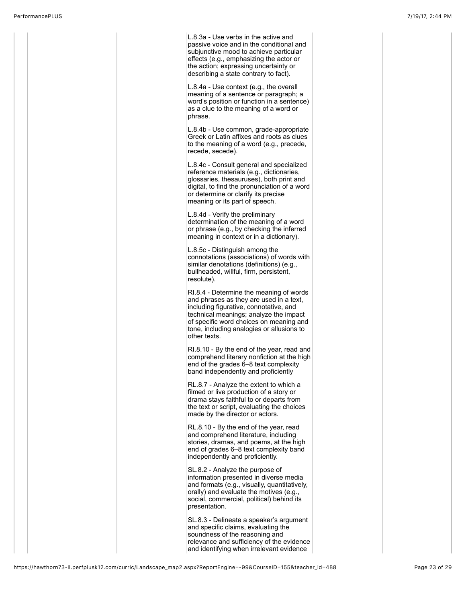L.8.3a - Use verbs in the active and passive voice and in the conditional and subjunctive mood to achieve particular effects (e.g., emphasizing the actor or the action; expressing uncertainty or describing a state contrary to fact). L.8.4a - Use context (e.g., the overall meaning of a sentence or paragraph; a word's position or function in a sentence) as a clue to the meaning of a word or phrase. L.8.4b - Use common, grade-appropriate Greek or Latin affixes and roots as clues to the meaning of a word (e.g., precede, recede, secede). L.8.4c - Consult general and specialized reference materials (e.g., dictionaries, glossaries, thesauruses), both print and digital, to find the pronunciation of a word or determine or clarify its precise meaning or its part of speech. L.8.4d - Verify the preliminary determination of the meaning of a word or phrase (e.g., by checking the inferred meaning in context or in a dictionary). L.8.5c - Distinguish among the connotations (associations) of words with similar denotations (definitions) (e.g., bullheaded, willful, firm, persistent, resolute). RI.8.4 - Determine the meaning of words and phrases as they are used in a text, including figurative, connotative, and technical meanings; analyze the impact of specific word choices on meaning and tone, including analogies or allusions to other texts. RI.8.10 - By the end of the year, read and comprehend literary nonfiction at the high end of the grades 6–8 text complexity band independently and proficiently RL.8.7 - Analyze the extent to which a filmed or live production of a story or drama stays faithful to or departs from the text or script, evaluating the choices made by the director or actors. RL.8.10 - By the end of the year, read and comprehend literature, including stories, dramas, and poems, at the high end of grades 6–8 text complexity band independently and proficiently. SL.8.2 - Analyze the purpose of information presented in diverse media and formats (e.g., visually, quantitatively, orally) and evaluate the motives (e.g., social, commercial, political) behind its presentation. SL.8.3 - Delineate a speaker's argument and specific claims, evaluating the soundness of the reasoning and relevance and sufficiency of the evidence and identifying when irrelevant evidence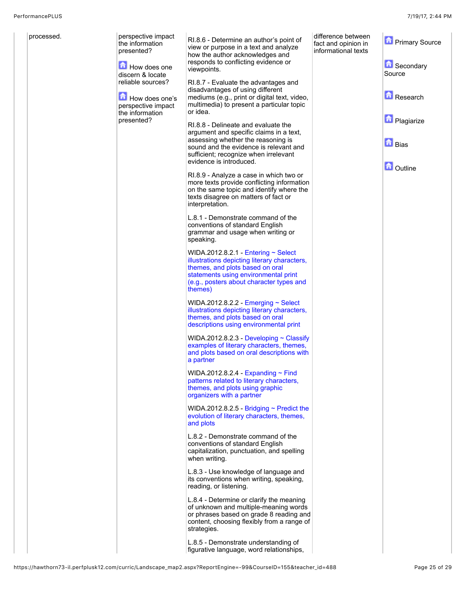| processed. | perspective impact<br>the information<br>presented?<br>How does one<br>discern & locate<br>reliable sources?<br>How does one's<br>perspective impact<br>the information<br>presented? | RI.8.6 - Determine an author's point of<br>view or purpose in a text and analyze<br>how the author acknowledges and<br>responds to conflicting evidence or<br>viewpoints.<br>RI.8.7 - Evaluate the advantages and<br>disadvantages of using different<br>mediums (e.g., print or digital text, video,<br>multimedia) to present a particular topic<br>or idea.<br>RI.8.8 - Delineate and evaluate the<br>argument and specific claims in a text,<br>assessing whether the reasoning is<br>sound and the evidence is relevant and<br>sufficient; recognize when irrelevant<br>evidence is introduced.<br>RI.8.9 - Analyze a case in which two or<br>more texts provide conflicting information<br>on the same topic and identify where the<br>texts disagree on matters of fact or<br>interpretation.<br>L.8.1 - Demonstrate command of the<br>conventions of standard English<br>grammar and usage when writing or<br>speaking.<br>WIDA.2012.8.2.1 Entering $\sim$ Select<br>illustrations depicting literary characters,<br>themes, and plots based on oral<br>statements using environmental print<br>(e.g., posters about character types and<br>themes)<br>WIDA.2012.8.2.2 Emerging $\sim$ Select<br>illustrations depicting literary characters,<br>themes, and plots based on oral<br>descriptions using environmental print<br>WIDA.2012.8.2.3 - Developing $\sim$ Classify<br>examples of literary characters, themes,<br>and plots based on oral descriptions with<br>a partner<br>WIDA.2012.8.2.4 - Expanding $\sim$ Find<br>patterns related to literary characters,<br>themes, and plots using graphic<br>organizers with a partner<br>WIDA.2012.8.2.5 - Bridging $\sim$ Predict the<br>evolution of literary characters, themes,<br>and plots<br>L.8.2 - Demonstrate command of the<br>conventions of standard English<br>capitalization, punctuation, and spelling<br>when writing.<br>L.8.3 - Use knowledge of language and<br>its conventions when writing, speaking,<br>reading, or listening.<br>L.8.4 - Determine or clarify the meaning<br>of unknown and multiple-meaning words<br>or phrases based on grade 8 reading and<br>content, choosing flexibly from a range of<br>strategies.<br>L.8.5 - Demonstrate understanding of<br>figurative language, word relationships, | difference between<br>fact and opinion in<br>informational texts | <b>Primary Source</b><br><b>n</b> Secondary<br>Source<br>Research<br><b>D</b> Plagiarize<br><b>D</b> Bias<br><b>D</b> Outline |
|------------|---------------------------------------------------------------------------------------------------------------------------------------------------------------------------------------|--------------------------------------------------------------------------------------------------------------------------------------------------------------------------------------------------------------------------------------------------------------------------------------------------------------------------------------------------------------------------------------------------------------------------------------------------------------------------------------------------------------------------------------------------------------------------------------------------------------------------------------------------------------------------------------------------------------------------------------------------------------------------------------------------------------------------------------------------------------------------------------------------------------------------------------------------------------------------------------------------------------------------------------------------------------------------------------------------------------------------------------------------------------------------------------------------------------------------------------------------------------------------------------------------------------------------------------------------------------------------------------------------------------------------------------------------------------------------------------------------------------------------------------------------------------------------------------------------------------------------------------------------------------------------------------------------------------------------------------------------------------------------------------------------------------------------------------------------------------------------------------------------------------------------------------------------------------------------------------------------------------------------------------------------------------------------------------------------------------------------------------------------------------------------------------------------------------------------------------------------------------------------------------------------|------------------------------------------------------------------|-------------------------------------------------------------------------------------------------------------------------------|
|------------|---------------------------------------------------------------------------------------------------------------------------------------------------------------------------------------|--------------------------------------------------------------------------------------------------------------------------------------------------------------------------------------------------------------------------------------------------------------------------------------------------------------------------------------------------------------------------------------------------------------------------------------------------------------------------------------------------------------------------------------------------------------------------------------------------------------------------------------------------------------------------------------------------------------------------------------------------------------------------------------------------------------------------------------------------------------------------------------------------------------------------------------------------------------------------------------------------------------------------------------------------------------------------------------------------------------------------------------------------------------------------------------------------------------------------------------------------------------------------------------------------------------------------------------------------------------------------------------------------------------------------------------------------------------------------------------------------------------------------------------------------------------------------------------------------------------------------------------------------------------------------------------------------------------------------------------------------------------------------------------------------------------------------------------------------------------------------------------------------------------------------------------------------------------------------------------------------------------------------------------------------------------------------------------------------------------------------------------------------------------------------------------------------------------------------------------------------------------------------------------------------|------------------------------------------------------------------|-------------------------------------------------------------------------------------------------------------------------------|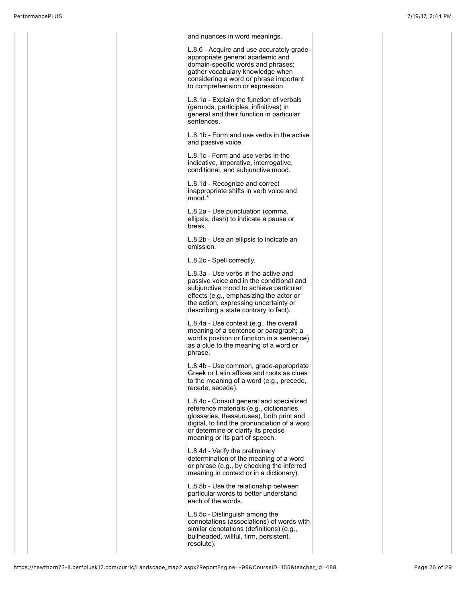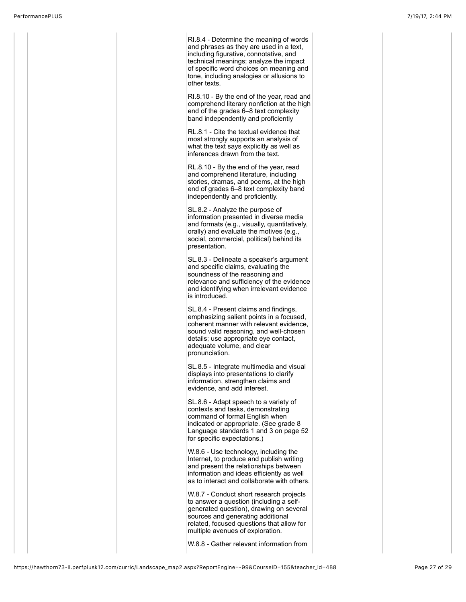